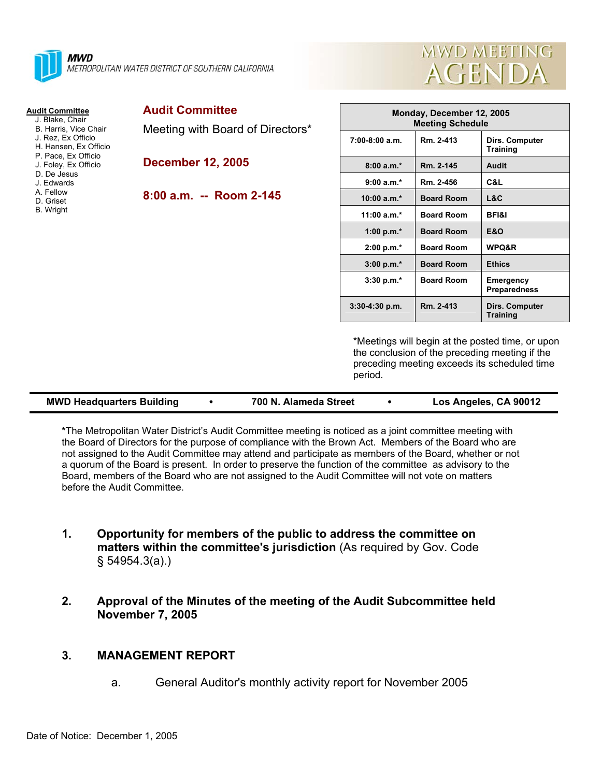

#### **Audit Committee**

- J. Blake, Chair B. Harris, Vice Chair
- J. Rez, Ex Officio
- H. Hansen, Ex Officio
- P. Pace, Ex Officio
- J. Foley, Ex Officio
- D. De Jesus
- J. Edwards
- A. Fellow
- D. Griset
- B. Wright

| <b>Audit Committee</b> |
|------------------------|
|                        |

Meeting with Board of Directors\*

**December 12, 2005** 

### **8:00 a.m. -- Room 2-145**



| Monday, December 12, 2005<br><b>Meeting Schedule</b> |                   |                                   |  |  |  |
|------------------------------------------------------|-------------------|-----------------------------------|--|--|--|
| $7:00-8:00$ a.m.                                     | Rm. 2-413         | Dirs. Computer<br>Training        |  |  |  |
| $8:00a.m.*$                                          | Rm. 2-145         | Audit                             |  |  |  |
| $9:00 a.m.*$                                         | Rm. 2-456         | C&L                               |  |  |  |
| $10:00 a.m.*$                                        | <b>Board Room</b> | L&C                               |  |  |  |
| $11:00 a.m.*$                                        | <b>Board Room</b> | <b>BFI&amp;I</b>                  |  |  |  |
| 1:00 p.m. $*$                                        | <b>Board Room</b> | E&O                               |  |  |  |
| $2:00 p.m.*$                                         | <b>Board Room</b> | <b>WPQ&amp;R</b>                  |  |  |  |
| 3:00 p.m.*                                           | <b>Board Room</b> | <b>Ethics</b>                     |  |  |  |
| $3:30 p.m.*$                                         | <b>Board Room</b> | Emergency<br><b>Preparedness</b>  |  |  |  |
| $3:30-4:30$ p.m.                                     | Rm. 2-413         | Dirs. Computer<br><b>Training</b> |  |  |  |

\*Meetings will begin at the posted time, or upon the conclusion of the preceding meeting if the preceding meeting exceeds its scheduled time period.

| <b>MWD Headquarters Building</b> | 700 N. Alameda Street | Los Angeles, CA 90012 |
|----------------------------------|-----------------------|-----------------------|
|                                  |                       |                       |

**\***The Metropolitan Water District's Audit Committee meeting is noticed as a joint committee meeting with the Board of Directors for the purpose of compliance with the Brown Act. Members of the Board who are not assigned to the Audit Committee may attend and participate as members of the Board, whether or not a quorum of the Board is present. In order to preserve the function of the committee as advisory to the Board, members of the Board who are not assigned to the Audit Committee will not vote on matters before the Audit Committee.

- **1. Opportunity for members of the public to address the committee on matters within the committee's jurisdiction** (As required by Gov. Code § 54954.3(a).)
- **2. Approval of the Minutes of the meeting of the Audit Subcommittee held November 7, 2005**

## **3. MANAGEMENT REPORT**

a. General Auditor's monthly activity report for November 2005